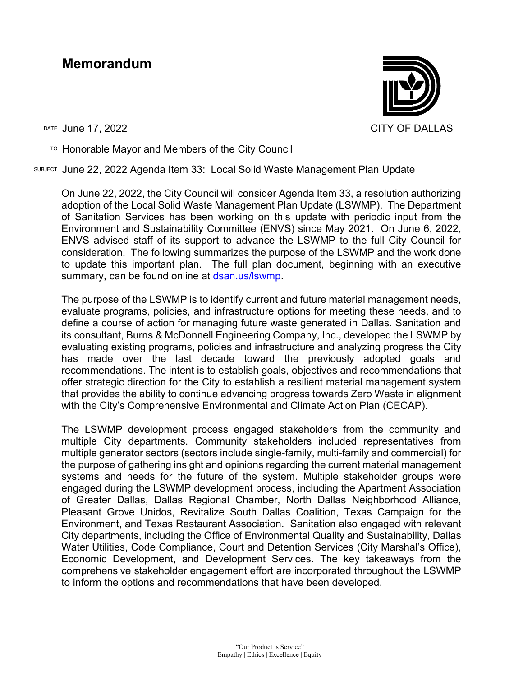## **Memorandum**

TO Honorable Mayor and Members of the City Council

SUBJECT June 22, 2022 Agenda Item 33: Local Solid Waste Management Plan Update

On June 22, 2022, the City Council will consider Agenda Item 33, a resolution authorizing adoption of the Local Solid Waste Management Plan Update (LSWMP). The Department of Sanitation Services has been working on this update with periodic input from the Environment and Sustainability Committee (ENVS) since May 2021. On June 6, 2022, ENVS advised staff of its support to advance the LSWMP to the full City Council for consideration. The following summarizes the purpose of the LSWMP and the work done to update this important plan. The full plan document, beginning with an executive summary, can be found online at [dsan.us/lswmp.](https://dsan.us/lswmp)

The purpose of the LSWMP is to identify current and future material management needs, evaluate programs, policies, and infrastructure options for meeting these needs, and to define a course of action for managing future waste generated in Dallas. Sanitation and its consultant, Burns & McDonnell Engineering Company, Inc., developed the LSWMP by evaluating existing programs, policies and infrastructure and analyzing progress the City has made over the last decade toward the previously adopted goals and recommendations. The intent is to establish goals, objectives and recommendations that offer strategic direction for the City to establish a resilient material management system that provides the ability to continue advancing progress towards Zero Waste in alignment with the City's Comprehensive Environmental and Climate Action Plan (CECAP).

The LSWMP development process engaged stakeholders from the community and multiple City departments. Community stakeholders included representatives from multiple generator sectors (sectors include single-family, multi-family and commercial) for the purpose of gathering insight and opinions regarding the current material management systems and needs for the future of the system. Multiple stakeholder groups were engaged during the LSWMP development process, including the Apartment Association of Greater Dallas, Dallas Regional Chamber, North Dallas Neighborhood Alliance, Pleasant Grove Unidos, Revitalize South Dallas Coalition, Texas Campaign for the Environment, and Texas Restaurant Association. Sanitation also engaged with relevant City departments, including the Office of Environmental Quality and Sustainability, Dallas Water Utilities, Code Compliance, Court and Detention Services (City Marshal's Office), Economic Development, and Development Services. The key takeaways from the comprehensive stakeholder engagement effort are incorporated throughout the LSWMP to inform the options and recommendations that have been developed.

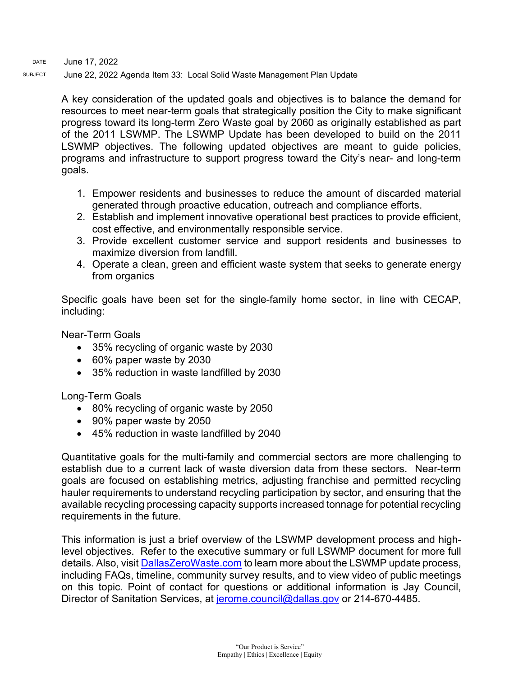DATE June 17, 2022

SUBJECT June 22, 2022 Agenda Item 33: Local Solid Waste Management Plan Update

A key consideration of the updated goals and objectives is to balance the demand for resources to meet near-term goals that strategically position the City to make significant progress toward its long-term Zero Waste goal by 2060 as originally established as part of the 2011 LSWMP. The LSWMP Update has been developed to build on the 2011 LSWMP objectives. The following updated objectives are meant to guide policies, programs and infrastructure to support progress toward the City's near- and long-term goals.

- 1. Empower residents and businesses to reduce the amount of discarded material generated through proactive education, outreach and compliance efforts.
- 2. Establish and implement innovative operational best practices to provide efficient, cost effective, and environmentally responsible service.
- 3. Provide excellent customer service and support residents and businesses to maximize diversion from landfill.
- 4. Operate a clean, green and efficient waste system that seeks to generate energy from organics

Specific goals have been set for the single-family home sector, in line with CECAP, including:

Near-Term Goals

- 35% recycling of organic waste by 2030
- 60% paper waste by 2030
- 35% reduction in waste landfilled by 2030

Long-Term Goals

- 80% recycling of organic waste by 2050
- 90% paper waste by 2050
- 45% reduction in waste landfilled by 2040

Quantitative goals for the multi-family and commercial sectors are more challenging to establish due to a current lack of waste diversion data from these sectors. Near-term goals are focused on establishing metrics, adjusting franchise and permitted recycling hauler requirements to understand recycling participation by sector, and ensuring that the available recycling processing capacity supports increased tonnage for potential recycling requirements in the future.

This information is just a brief overview of the LSWMP development process and highlevel objectives. Refer to the executive summary or full LSWMP document for more full details. Also, visit [DallasZeroWaste.com](https://dallaszerowaste.com/) to learn more about the LSWMP update process, including FAQs, timeline, community survey results, and to view video of public meetings on this topic. Point of contact for questions or additional information is Jay Council, Director of Sanitation Services, at [jerome.council@dallas.gov](mailto:jerome.council@dallas.gov) or 214-670-4485.